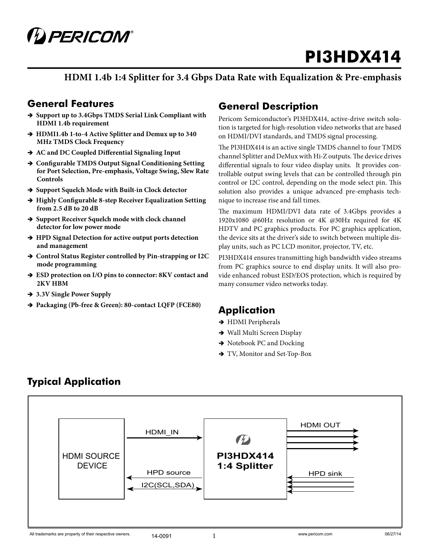

**HDMI 1.4b 1:4 Splitter for 3.4 Gbps Data Rate with Equalization & Pre-emphasis** 

### **General Features**

- $\rightarrow$  **Support up to 3.4Gbps TMDS Serial Link Compliant with HDMI 1.4b requirement**
- → HDMI1.4b 1-to-4 Active Splitter and Demux up to 340 **MHz TMDS Clock Frequency**
- $\rightarrow$  AC and DC Coupled Differential Signaling Input
- $\rightarrow$  **Configurable TMDS Output Signal Conditioning Setting for Port Selection, Pre-emphasis, Voltage Swing, Slew Rate Controls**
- $\rightarrow$  **Support Squelch Mode with Built-in Clock detector**
- $\rightarrow$  **Highly Configurable 8-step Receiver Equalization Setting from 2.5 dB to 20 dB**
- $\rightarrow$  **Support Receiver Squelch mode with clock channel detector for low power mode**
- $\rightarrow$  **HPD Signal Detection for active output ports detection and management**
- $\rightarrow$  Control Status Register controlled by Pin-strapping or I2C **mode programming**
- $\rightarrow$  ESD protection on I/O pins to connector: 8KV contact and **2KV HBM**
- $\rightarrow$  **3.3V Single Power Supply**
- ÎÎ **Packaging (Pb-free & Green): 80-contact LQFP (FCE80)**

### **General Description**

Pericom Semiconductor's PI3HDX414, active-drive switch solution is targeted for high-resolution video networks that are based on HDMI/DVI standards, and TMDS signal processing.

The PI3HDX414 is an active single TMDS channel to four TMDS channel Splitter and DeMux with Hi-Z outputs. The device drives differential signals to four video display units. It provides controllable output swing levels that can be controlled through pin control or I2C control, depending on the mode select pin. This solution also provides a unique advanced pre-emphasis technique to increase rise and fall times.

The maximum HDMI/DVI data rate of 3.4Gbps provides a 1920x1080 @60Hz resolution or 4K @30Hz required for 4K HDTV and PC graphics products. For PC graphics application, the device sits at the driver's side to switch between multiple display units, such as PC LCD monitor, projector, TV, etc.

PI3HDX414 ensures transmitting high bandwidth video streams from PC graphics source to end display units. It will also provide enhanced robust ESD/EOS protection, which is required by many consumer video networks today.

### **Application**

- $\rightarrow$  HDMI Peripherals
- $\rightarrow$  Wall Multi Screen Display
- $\rightarrow$  Notebook PC and Docking
- $\rightarrow$  TV, Monitor and Set-Top-Box



## **Typical Application**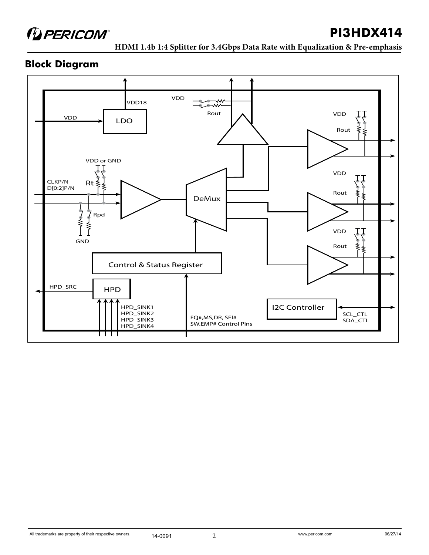

**HDMI 1.4b 1:4 Splitter for 3.4Gbps Data Rate with Equalization & Pre-emphasis** 

### **Block Diagram**

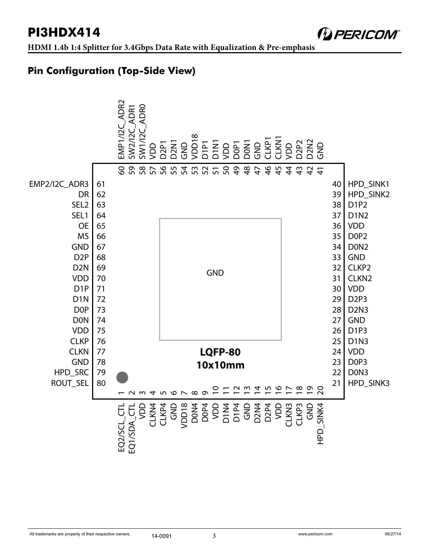*DERICOM®* 

## **Pin Configuration (Top-Side View)**

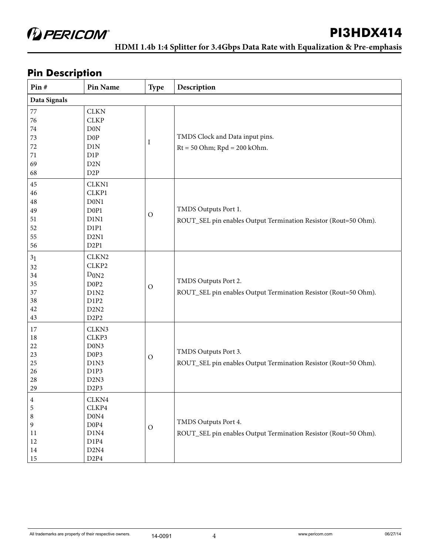**HDMI 1.4b 1:4 Splitter for 3.4Gbps Data Rate with Equalization & Pre-emphasis** 

## **Pin Description**

| Pin#                                                     | Pin Name                                                                                                                                 | <b>Type</b>   | Description                                                                             |
|----------------------------------------------------------|------------------------------------------------------------------------------------------------------------------------------------------|---------------|-----------------------------------------------------------------------------------------|
| Data Signals                                             |                                                                                                                                          |               |                                                                                         |
| $77\,$<br>76<br>$74\,$<br>73<br>72<br>71<br>69<br>68     | <b>CLKN</b><br><b>CLKP</b><br><b>D0N</b><br>D <sub>0</sub> P<br>D1N<br>D1P<br>D2N<br>D2P                                                 | I             | TMDS Clock and Data input pins.<br>$Rt = 50$ Ohm; $Rpd = 200$ kOhm.                     |
| $45\,$<br>46<br>48<br>49<br>51<br>52<br>55<br>56         | CLKN1<br>CLKP1<br>D0N1<br>D <sub>0</sub> P <sub>1</sub><br>D1N1<br>D1P1<br>D <sub>2</sub> N <sub>1</sub><br>D2P1                         | $\mathcal{O}$ | TMDS Outputs Port 1.<br>ROUT_SEL pin enables Output Termination Resistor (Rout=50 Ohm). |
| 3 <sub>1</sub><br>32<br>34<br>35<br>37<br>38<br>42<br>43 | CLKN <sub>2</sub><br>CLKP2<br>D <sub>0N2</sub><br>D <sub>0</sub> P <sub>2</sub><br>D1N2<br>D1P2<br>D2N2<br>D <sub>2</sub> P <sub>2</sub> | $\rm{O}$      | TMDS Outputs Port 2.<br>ROUT_SEL pin enables Output Termination Resistor (Rout=50 Ohm). |
| 17<br>18<br>$22\,$<br>23<br>25<br>26<br>28<br>29         | CLKN3<br>CLKP3<br>D0N3<br>D0P3<br>D1N3<br>D1P3<br>D <sub>2</sub> N <sub>3</sub><br>D <sub>2</sub> P <sub>3</sub>                         | $\mathcal{O}$ | TMDS Outputs Port 3.<br>ROUT_SEL pin enables Output Termination Resistor (Rout=50 Ohm). |
| 4<br>5<br>8<br>9<br>11<br>12<br>$14\,$<br>$15\,$         | CLKN4<br>CLKP4<br>D0N4<br>D <sub>0</sub> P <sub>4</sub><br>D1N4<br>D1P4<br>D2N4<br>D2P4                                                  | $\mathcal{O}$ | TMDS Outputs Port 4.<br>ROUT_SEL pin enables Output Termination Resistor (Rout=50 Ohm). |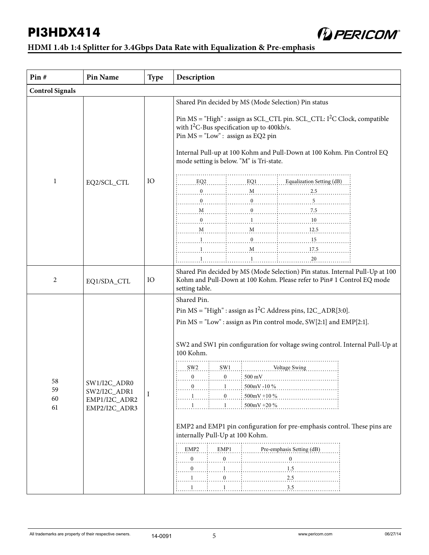

| Pin#                   | <b>Pin Name</b>                                                | <b>Type</b> | Description                                                                                                                                                                                                                                                                                                                                                                                                                                                                                                                                                                                                                                                                                                                               |  |  |  |
|------------------------|----------------------------------------------------------------|-------------|-------------------------------------------------------------------------------------------------------------------------------------------------------------------------------------------------------------------------------------------------------------------------------------------------------------------------------------------------------------------------------------------------------------------------------------------------------------------------------------------------------------------------------------------------------------------------------------------------------------------------------------------------------------------------------------------------------------------------------------------|--|--|--|
| <b>Control Signals</b> |                                                                |             |                                                                                                                                                                                                                                                                                                                                                                                                                                                                                                                                                                                                                                                                                                                                           |  |  |  |
| $\mathbf{1}$           | EQ2/SCL_CTL                                                    | IO          | Shared Pin decided by MS (Mode Selection) Pin status<br>Pin $MS = "High"$ : assign as SCL_CTL pin. SCL_CTL: $I2C$ Clock, compatible<br>with $I^2C$ -Bus specification up to 400kb/s.<br>Pin $MS = "Low" : assign as EQ2 pin$<br>Internal Pull-up at 100 Kohm and Pull-Down at 100 Kohm. Pin Control EQ<br>mode setting is below. "M" is Tri-state.<br>$EQ2$ $EQ3$ $EQ4$ $EQ1$ $EQ4$ $EQ4$ $EQ4$ $EQ4$ $EQ4$ $EQ4$ $EQ4$ $EQ4$ $EQ4$ $EQ4$ $EQ4$ $EQ4$ $EQ4$ $EQ4$ $EQ4$ $EQ4$ $EQ4$ $EQ4$ $EQ4$ $EQ4$ $EQ4$ $EQ4$ $EQ4$ $EQ4$ $EQ4$ $EQ4$ $EQ4$ $EQ4$ $EQ4$ $EQ4$ $EQ4$ $EQ4$ $EQ4$ $EQ4$<br>$\mathbf{1}$                                                                                                                                 |  |  |  |
| 2                      | EQ1/SDA_CTL                                                    | IO          | Shared Pin decided by MS (Mode Selection) Pin status. Internal Pull-Up at 100<br>Kohm and Pull-Down at 100 Kohm. Please refer to Pin# 1 Control EQ mode<br>setting table.                                                                                                                                                                                                                                                                                                                                                                                                                                                                                                                                                                 |  |  |  |
| 58<br>59<br>60<br>61   | SW1/I2C_ADR0<br>SW2/I2C_ADR1<br>EMP1/I2C_ADR2<br>EMP2/I2C_ADR3 | I           | Shared Pin.<br>Pin MS = "High" : assign as $I^2C$ Address pins, $I2C$ _ADR[3:0].<br>Pin MS = "Low" : assign as Pin control mode, SW[2:1] and EMP[2:1].<br>SW2 and SW1 pin configuration for voltage swing control. Internal Pull-Up at<br>100 Kohm.<br>$SW2$ $: \tSW1$ $: \tNow1$ Voltage Swing<br>$\ldots 0 \ldots \vdots \ldots 0 \ldots \vdots 500 \text{ mV}$<br>$\mathbf{0}$<br>500mV-10%<br>$\mathbf{0}$<br>500mV +10 %<br>$500 \text{mV} + 20 \%$<br>1<br>EMP2 and EMP1 pin configuration for pre-emphasis control. These pins are<br>internally Pull-Up at 100 Kohm.<br>EMP1 : Pre-emphasis Setting (dB)<br>$EMP2$ :<br>$\overline{0}$ .<br>$\mathbf{0}$<br>$\begin{matrix} 0 & \ldots & \vdots \end{matrix}$<br>$\boldsymbol{0}$ |  |  |  |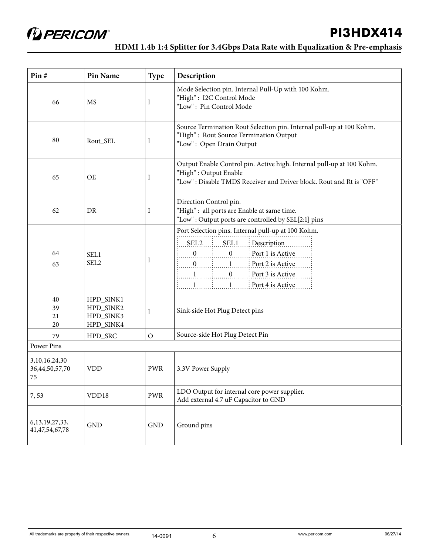**HDMI 1.4b 1:4 Splitter for 3.4Gbps Data Rate with Equalization & Pre-emphasis** 

| Pin#                                     | <b>Pin Name</b>                                  | <b>Type</b>   | Description                                                                                                                                                                                                                                                                                                            |
|------------------------------------------|--------------------------------------------------|---------------|------------------------------------------------------------------------------------------------------------------------------------------------------------------------------------------------------------------------------------------------------------------------------------------------------------------------|
| 66                                       | <b>MS</b>                                        | I             | Mode Selection pin. Internal Pull-Up with 100 Kohm.<br>"High": I2C Control Mode<br>"Low": Pin Control Mode                                                                                                                                                                                                             |
| 80                                       | Rout_SEL                                         | I             | Source Termination Rout Selection pin. Internal pull-up at 100 Kohm.<br>"High": Rout Source Termination Output<br>"Low": Open Drain Output                                                                                                                                                                             |
| 65                                       | <b>OE</b>                                        | Ι             | Output Enable Control pin. Active high. Internal pull-up at 100 Kohm.<br>"High": Output Enable<br>"Low": Disable TMDS Receiver and Driver block. Rout and Rt is "OFF"                                                                                                                                                  |
| 62                                       | <b>DR</b>                                        | I             | Direction Control pin.<br>"High": all ports are Enable at same time.<br>"Low": Output ports are controlled by SEL[2:1] pins                                                                                                                                                                                            |
| 64<br>63                                 | SEL1<br>SEL <sub>2</sub>                         | I             | Port Selection pins. Internal pull-up at 100 Kohm.<br>$SEL2$ $SEL1$ $DESCiption$<br>$\begin{bmatrix} 0 & \cdots & 0 \\ \vdots & \ddots & \vdots \\ 0 & \cdots & 0 \end{bmatrix}$ Port 1 is Active<br>$1 \ldots 1 \ldots 0 \ldots$ Port 3 is Active<br>$\frac{1}{2}$ Port 4 is Active<br>$1, \ldots, \ldots, 1, \ldots$ |
| 40<br>39<br>21<br>20                     | HPD_SINK1<br>HPD_SINK2<br>HPD_SINK3<br>HPD_SINK4 | I             | Sink-side Hot Plug Detect pins                                                                                                                                                                                                                                                                                         |
| 79                                       | HPD_SRC                                          | $\mathcal{O}$ | Source-side Hot Plug Detect Pin                                                                                                                                                                                                                                                                                        |
| <b>Power Pins</b>                        |                                                  |               |                                                                                                                                                                                                                                                                                                                        |
| 3,10,16,24,30<br>36,44,50,57,70<br>75    | <b>VDD</b>                                       | <b>PWR</b>    | 3.3V Power Supply                                                                                                                                                                                                                                                                                                      |
| 7,53                                     | VDD18                                            | <b>PWR</b>    | LDO Output for internal core power supplier.<br>Add external 4.7 uF Capacitor to GND                                                                                                                                                                                                                                   |
| 6, 13, 19, 27, 33,<br>41, 47, 54, 67, 78 | <b>GND</b>                                       | <b>GND</b>    | Ground pins                                                                                                                                                                                                                                                                                                            |

#### All trademarks are property of their respective owners. <br>  $14-0091$  6<br>
6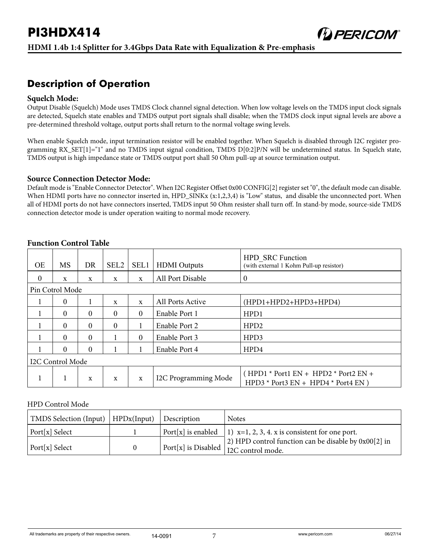### **Description of Operation**

#### **Squelch Mode:**

Output Disable (Squelch) Mode uses TMDS Clock channel signal detection. When low voltage levels on the TMDS input clock signals are detected, Squelch state enables and TMDS output port signals shall disable; when the TMDS clock input signal levels are above a pre-determined threshold voltage, output ports shall return to the normal voltage swing levels.

When enable Squelch mode, input termination resistor will be enabled together. When Squelch is disabled through I2C register programming RX\_SET[1]="1" and no TMDS input signal condition, TMDS D[0:2]P/N will be undetermined status. In Squelch state, TMDS output is high impedance state or TMDS output port shall 50 Ohm pull-up at source termination output.

#### **Source Connection Detector Mode:**

Default mode is "Enable Connector Detector". When I2C Register Offset 0x00 CONFIG[2] register set "0", the default mode can disable. When HDMI ports have no connector inserted in, HPD\_SINKx (x:1,2,3,4) is "Low" status, and disable the unconnected port. When all of HDMI ports do not have connectors inserted, TMDS input 50 Ohm resister shall turn off. In stand-by mode, source-side TMDS connection detector mode is under operation waiting to normal mode recovery.

| <b>OE</b>       | MS               | DR          | SEL <sub>2</sub> | SEL1         | <b>HDMI</b> Outputs  | <b>HPD SRC Function</b><br>(with external 1 Kohm Pull-up resistor)                |
|-----------------|------------------|-------------|------------------|--------------|----------------------|-----------------------------------------------------------------------------------|
| $\theta$        | $\mathbf{x}$     | $\mathbf x$ | X                | $\mathbf{x}$ | All Port Disable     | $\theta$                                                                          |
| Pin Cotrol Mode |                  |             |                  |              |                      |                                                                                   |
|                 | $\theta$         |             | X                | $\mathbf{x}$ | All Ports Active     | (HPD1+HPD2+HPD3+HPD4)                                                             |
|                 | $\Omega$         | $\Omega$    | $\Omega$         | $\mathbf{0}$ | Enable Port 1        | HPD1                                                                              |
|                 | $\Omega$         | $\theta$    | $\mathbf{0}$     |              | Enable Port 2        | HPD <sub>2</sub>                                                                  |
|                 | $\Omega$         | $\theta$    |                  | $\mathbf{0}$ | Enable Port 3        | HPD3                                                                              |
|                 | $\Omega$         | $\theta$    |                  |              | Enable Port 4        | HPD4                                                                              |
|                 | I2C Control Mode |             |                  |              |                      |                                                                                   |
| 1               | 1                | X           | $\mathbf{x}$     | X            | I2C Programming Mode | $(HPD1 * Port1 EN + HPD2 * Port2 EN +$<br>HPD3 * Port3 $EN + HPD4$ * Port4 $EN$ ) |

#### **Function Control Table**

#### HPD Control Mode

| TMDS Selection (Input)   $HPDx(Input)$   Description |  | <b>Notes</b>                                                                                                   |
|------------------------------------------------------|--|----------------------------------------------------------------------------------------------------------------|
| Port[x] Select                                       |  | Port[x] is enabled   1) $x=1, 2, 3, 4$ . x is consistent for one port.                                         |
| Port[x] Select                                       |  | 2) HPD control function can be disable by $0x00[2]$ in<br>  Port[x] is Disabled $\frac{1}{12}$ C control mode. |

**DERICOM®**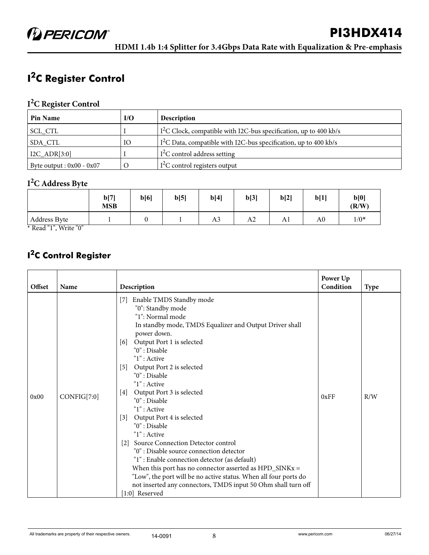## **I 2C Register Control**

#### **I 2C Register Control**

| <b>Pin Name</b>             | I/O | <b>Description</b>                                                 |
|-----------------------------|-----|--------------------------------------------------------------------|
| SCL_CTL                     |     | $I2C$ Clock, compatible with I2C-bus specification, up to 400 kb/s |
| SDA CTL                     | IО  | $I2C$ Data, compatible with I2C-bus specification, up to 400 kb/s  |
| $I2C$ _ADR[3:0]             |     | $I^2C$ control address setting                                     |
| Byte output : $0x00 - 0x07$ |     | $I2C$ control registers output                                     |

#### **I 2C Address Byte**

|                     | b[7]<br><b>MSB</b> | b[6] | b[5] | b[4]           | b[3]           | b[2] | b[1]           | b[0]<br>(R/W) |
|---------------------|--------------------|------|------|----------------|----------------|------|----------------|---------------|
| <b>Address Byte</b> |                    |      |      | A <sub>3</sub> | A <sub>2</sub> | Al   | A <sub>0</sub> | $1/0*$        |

\* Read "1", Write "0"

## **I 2C Control Register**

| Offset | Name        | Description                                                                                                                                                                                                                                                                                                                                                                                                                                                                                                                                                                                                                                                                                                                                                                                 | Power Up<br>Condition | <b>Type</b> |
|--------|-------------|---------------------------------------------------------------------------------------------------------------------------------------------------------------------------------------------------------------------------------------------------------------------------------------------------------------------------------------------------------------------------------------------------------------------------------------------------------------------------------------------------------------------------------------------------------------------------------------------------------------------------------------------------------------------------------------------------------------------------------------------------------------------------------------------|-----------------------|-------------|
| 0x00   | CONFIG[7:0] | Enable TMDS Standby mode<br>[7]<br>"0": Standby mode<br>"1": Normal mode<br>In standby mode, TMDS Equalizer and Output Driver shall<br>power down.<br>[6] Output Port 1 is selected<br>"0" : Disable<br>$"1"$ : Active<br>[5] Output Port 2 is selected<br>"0": Disable<br>$"1"$ : Active<br>[4] Output Port 3 is selected<br>"0": Disable<br>$"1"$ : Active<br>Output Port 4 is selected<br>[3]<br>"0": Disable<br>$"1"$ : Active<br>[2] Source Connection Detector control<br>"0": Disable source connection detector<br>"1": Enable connection detector (as default)<br>When this port has no connector asserted as $HPD_SINKx =$<br>"Low", the port will be no active status. When all four ports do<br>not inserted any connectors, TMDS input 50 Ohm shall turn off<br>[1:0] Reserved | 0xFF                  | R/W         |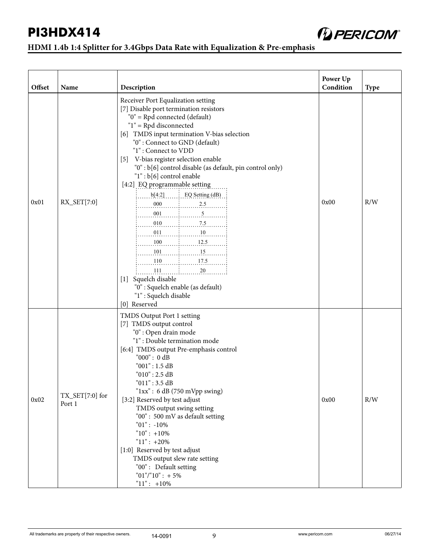

| Offset | Name                                 | Description                                                                                                                                                                                                                                                                                                                                                                                                                                                                                                                                                                                                                                                                                                                                                                                                                 | Power Up<br>Condition | <b>Type</b> |
|--------|--------------------------------------|-----------------------------------------------------------------------------------------------------------------------------------------------------------------------------------------------------------------------------------------------------------------------------------------------------------------------------------------------------------------------------------------------------------------------------------------------------------------------------------------------------------------------------------------------------------------------------------------------------------------------------------------------------------------------------------------------------------------------------------------------------------------------------------------------------------------------------|-----------------------|-------------|
| 0x01   | $RX$ <sub>_</sub> SET $[7:0]$        | Receiver Port Equalization setting<br>[7] Disable port termination resistors<br>"0" = Rpd connected (default)<br>"1" = Rpd disconnected<br>[6] TMDS input termination V-bias selection<br>"0": Connect to GND (default)<br>"1": Connect to VDD<br>[5] V-bias register selection enable<br>"0" : b[6] control disable (as default, pin control only)<br>$"1"$ : $b[6]$ control enable<br>[4:2] EQ programmable setting<br>$b[4:2]$ $\ldots$ $\ldots$ EQ Setting (dB)<br>$\ldots$ 010 $\ldots$ 7.5 $\ldots$<br>$\ldots$ 011 $\ldots$ $\ldots$ 10 $\ldots$<br>$\ldots \ldots 100 \ldots \ldots \ldots \ldots 12.5 \ldots \ldots$<br>$\begin{bmatrix} 101 & \dots & 15 & \dots & \dots \end{bmatrix}$<br>$110$ $17.5$<br>111<br>[1] Squelch disable<br>"0": Squelch enable (as default)<br>"1": Squelch disable<br>[0] Reserved | 0x00                  | R/W         |
| 0x02   | $TX_{\text{SET}}[7:0]$ for<br>Port 1 | TMDS Output Port 1 setting<br>[7] TMDS output control<br>"0": Open drain mode<br>"1": Double termination mode<br>[6:4] TMDS output Pre-emphasis control<br>"000" : 0 dB<br>"001" : 1.5 dB<br>"010" : 2.5 dB<br>"011" : 3.5 dB<br>" $1xx$ ": 6 dB (750 mVpp swing)<br>[3:2] Reserved by test adjust<br>TMDS output swing setting<br>"00": 500 mV as default setting<br>$"01" : -10\%$<br>$"10" : +10\%$<br>$"11" : +20\%$<br>[1:0] Reserved by test adjust<br>TMDS output slew rate setting<br>"00": Default setting<br>$"01" / "10" : + 5%$<br>" $11$ ": +10%                                                                                                                                                                                                                                                               | 0x00                  | R/W         |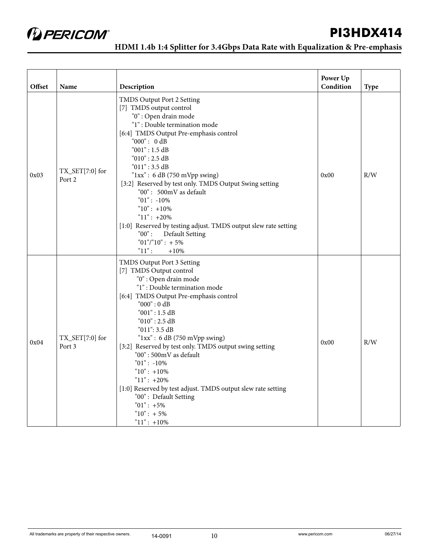

| Offset | Name                                       | Description                                                                                                                                                                                                                                                                                                                                                                                                                                                                                                                                                     | Power Up<br>Condition | Type |
|--------|--------------------------------------------|-----------------------------------------------------------------------------------------------------------------------------------------------------------------------------------------------------------------------------------------------------------------------------------------------------------------------------------------------------------------------------------------------------------------------------------------------------------------------------------------------------------------------------------------------------------------|-----------------------|------|
| 0x03   | $\text{TX\_SET}[7\text{:}0]$ for<br>Port 2 | TMDS Output Port 2 Setting<br>[7] TMDS output control<br>"0": Open drain mode<br>"1": Double termination mode<br>[6:4] TMDS Output Pre-emphasis control<br>"000": 0dB<br>"001" : 1.5 dB<br>"010" : 2.5 dB<br>"011" : 3.5 dB<br>" $1xx$ ": 6 dB (750 mVpp swing)<br>[3:2] Reserved by test only. TMDS Output Swing setting<br>"00": 500mV as default<br>$"01" : -10\%$<br>" $10$ ": +10%<br>" $11$ ": +20%<br>[1:0] Reserved by testing adjust. TMDS output slew rate setting<br>$"00"$ :<br><b>Default Setting</b><br>$"01" / "10" : +5%$<br>$"11"$ :<br>$+10%$ | 0x00                  | R/W  |
| 0x04   | TX_SET[7:0] for<br>Port 3                  | TMDS Output Port 3 Setting<br>[7] TMDS Output control<br>"0": Open drain mode<br>"1": Double termination mode<br>[6:4] TMDS Output Pre-emphasis control<br>"000" : 0 dB<br>"001": 1.5 dB<br>$"010"$ : 2.5 dB<br>"011": 3.5 dB<br>" $1xx$ ": 6 dB (750 mVpp swing)<br>[3:2] Reserved by test only. TMDS output swing setting<br>"00": 500mV as default<br>$"01" : -10\%$<br>$"10": +10\%$<br>$"11" : +20\%$<br>[1:0] Reserved by test adjust. TMDS output slew rate setting<br>"00": Default Setting<br>$"01" : +5\%$<br>$"10" : +5\%$<br>$"11" : +10\%$         | 0x00                  | R/W  |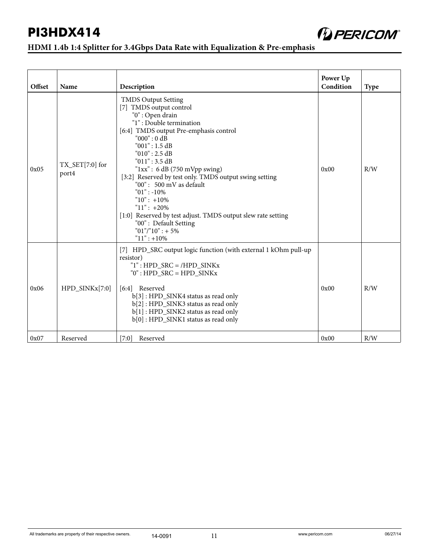

| Offset | Name                                | Description                                                                                                                                                                                                                                                                                                                                                                                                                                                                                                                           | Power Up<br>Condition | <b>Type</b> |
|--------|-------------------------------------|---------------------------------------------------------------------------------------------------------------------------------------------------------------------------------------------------------------------------------------------------------------------------------------------------------------------------------------------------------------------------------------------------------------------------------------------------------------------------------------------------------------------------------------|-----------------------|-------------|
| 0x05   | $TX_{\text{SET}}[7:0]$ for<br>port4 | <b>TMDS Output Setting</b><br>[7] TMDS output control<br>"0": Open drain<br>"1": Double termination<br>[6:4] TMDS output Pre-emphasis control<br>"000" : 0 dB<br>"001" : 1.5 dB<br>"010" : 2.5 dB<br>"011" : 3.5 dB<br>" $1xx$ ": 6 dB (750 mVpp swing)<br>[3:2] Reserved by test only. TMDS output swing setting<br>"00": 500 mV as default<br>$"01" : -10\%$<br>$"10" : +10\%$<br>$"11" : +20\%$<br>[1:0] Reserved by test adjust. TMDS output slew rate setting<br>"00": Default Setting<br>$"01" / "10" : + 5%$<br>$"11" : +10\%$ | 0x00                  | R/W         |
| 0x06   | HPD_SINKx[7:0]                      | [7] HPD_SRC output logic function (with external 1 kOhm pull-up<br>resistor)<br>$"1"$ : HPD_SRC = /HPD_SINKx<br>$"0"$ : HPD SRC = HPD SINKx<br>[6:4] Reserved<br>b[3]: HPD_SINK4 status as read only<br>b[2]: HPD_SINK3 status as read only<br>b[1]: HPD_SINK2 status as read only<br>b[0]: HPD_SINK1 status as read only                                                                                                                                                                                                             | 0x00                  | R/W         |
| 0x07   | Reserved                            | $[7:0]$<br>Reserved                                                                                                                                                                                                                                                                                                                                                                                                                                                                                                                   | 0x00                  | R/W         |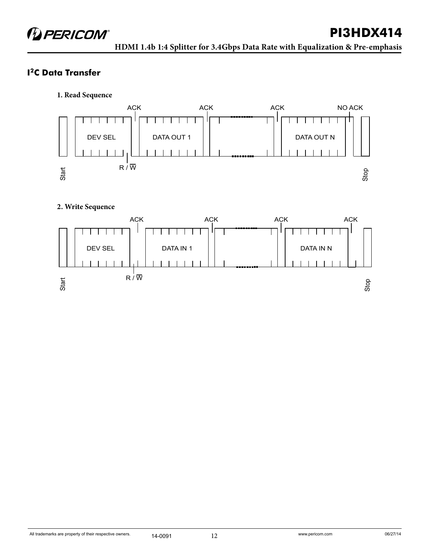### **I2C Data Transfer**

**1. Read Sequence**



#### **2. Write Sequence**

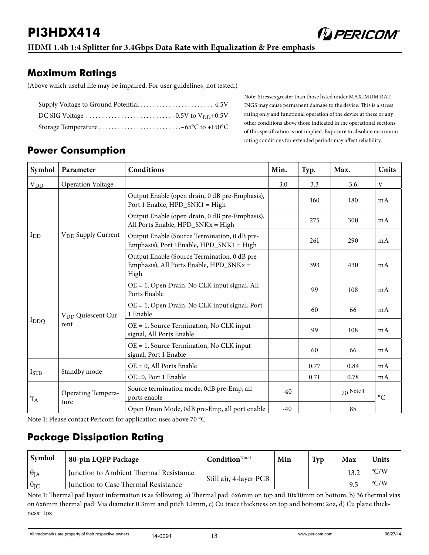

### **Maximum Ratings**

(Above which useful life may be impaired. For user guidelines, not tested.)

Note: Stresses greater than those listed under MAXIMUM RAT-INGS may cause permanent damage to the device. This is a stress rating only and functional operation of the device at these or any other conditions above those indicated in the operational sections of this specification is not implied. Exposure to absolute maximum rating conditions for extended periods may affect reliability.

## **Power Consumption**

| Symbol           | Parameter                              | <b>Conditions</b>                                                                               | Min.  | Typ. | Max.        | <b>Units</b>    |
|------------------|----------------------------------------|-------------------------------------------------------------------------------------------------|-------|------|-------------|-----------------|
| $V_{DD}$         | <b>Operation Voltage</b>               |                                                                                                 | 3.0   | 3.3  | 3.6         | V               |
|                  |                                        | Output Enable (open drain, 0 dB pre-Emphasis),<br>Port 1 Enable, HPD_SNK1 = High                |       | 160  | 180         | mA              |
|                  |                                        | Output Enable (open drain, 0 dB pre-Emphasis),<br>All Ports Enable, HPD_SNKx = High             |       | 275  | 300         | mA              |
| $I_{DD}$         | V <sub>DD</sub> Supply Current         | Output Enable (Source Termination, 0 dB pre-<br>Emphasis), Port 1Enable, HPD_SNK1 = High        |       | 261  | 290         | mA              |
|                  |                                        | Output Enable (Source Termination, 0 dB pre-<br>Emphasis), All Ports Enable, HPD_SNKx =<br>High |       | 393  | 430         | mA              |
|                  | V <sub>DD</sub> Quiescent Cur-<br>rent | OE = 1, Open Drain, No CLK input signal, All<br>Ports Enable                                    |       | 99   | 108         | mA              |
|                  |                                        | $OE = 1$ , Open Drain, No CLK input signal, Port<br>1 Enable                                    |       | 60   | 66          | mA              |
| I <sub>DDQ</sub> |                                        | $OE = 1$ , Source Termination, No CLK input<br>signal, All Ports Enable                         |       | 99   | 108         | mA              |
|                  |                                        | OE = 1, Source Termination, No CLK input<br>signal, Port 1 Enable                               |       | 60   | 66          | mA              |
|                  |                                        | $OE = 0$ , All Ports Enable                                                                     |       | 0.77 | 0.84        | mA              |
| ISTB             | Standby mode                           | OE=0, Port 1 Enable                                                                             |       | 0.71 | 0.78        | mA              |
| $T_A$            | Operating Tempera-<br>ture             | Source termination mode, 0dB pre-Emp, all<br>ports enable                                       |       |      | $70$ Note 1 | $\rm ^{\circ}C$ |
|                  |                                        | Open Drain Mode, 0dB pre-Emp, all port enable                                                   | $-40$ |      | 85          |                 |

Note 1: Please contact Pericom for application uses above 70 °C

## **Package Dissipation Rating**

| Symbol            | 80-pin LQFP Package                    | $\mathbf{Condition}^{\text{Note1}}$ | Min | Typ | Max | <b>Units</b>       |
|-------------------|----------------------------------------|-------------------------------------|-----|-----|-----|--------------------|
| $\theta_{IA}$     | Junction to Ambient Thermal Resistance |                                     |     |     |     | $\rm ^{\circ} C/W$ |
| $\theta_{\rm IC}$ | Junction to Case Thermal Resistance    | Still air, 4-layer PCB              |     |     |     | $\rm ^{\circ} C/W$ |

Note 1: Thermal pad layout information is as following. a) Thermal pad: 6x6mm on top and 10x10mm on bottom, b) 36 thermal vias on 6x6mm thermal pad: Via diameter 0.3mm and pitch 1.0mm, c) Cu trace thickness on top and bottom: 2oz, d) Cu plane thickness: 1oz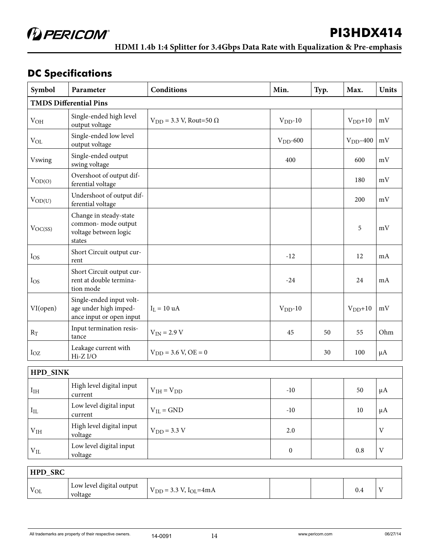**D** PERICOM®

**HDMI 1.4b 1:4 Splitter for 3.4Gbps Data Rate with Equalization & Pre-emphasis** 

## **DC Specifications**

| Symbol          | Parameter                                                                       | <b>Conditions</b>                  | Min.       | Typ. | Max.        | <b>Units</b> |  |  |
|-----------------|---------------------------------------------------------------------------------|------------------------------------|------------|------|-------------|--------------|--|--|
|                 | <b>TMDS Differential Pins</b>                                                   |                                    |            |      |             |              |  |  |
| V <sub>OH</sub> | Single-ended high level<br>output voltage                                       | $V_{DD}$ = 3.3 V, Rout=50 $\Omega$ | $VDD - 10$ |      | $VDD+10$    | mV           |  |  |
| $V_{OL}$        | Single-ended low level<br>output voltage                                        |                                    | $VDD$ -600 |      | $VDD - 400$ | mV           |  |  |
| <b>Vswing</b>   | Single-ended output<br>swing voltage                                            |                                    | 400        |      | 600         | mV           |  |  |
| $V_{OD(O)}$     | Overshoot of output dif-<br>ferential voltage                                   |                                    |            |      | 180         | mV           |  |  |
| $V_{OD(U)}$     | Undershoot of output dif-<br>ferential voltage                                  |                                    |            |      | 200         | mV           |  |  |
| $V_{OC(SS)}$    | Change in steady-state<br>common-mode output<br>voltage between logic<br>states |                                    |            |      | 5           | mV           |  |  |
| I <sub>OS</sub> | Short Circuit output cur-<br>rent                                               |                                    | $-12$      |      | 12          | mA           |  |  |
| $I_{OS}$        | Short Circuit output cur-<br>rent at double termina-<br>tion mode               |                                    | $-24$      |      | 24          | mA           |  |  |
| VI(open)        | Single-ended input volt-<br>age under high imped-<br>ance input or open input   | $I_L = 10$ uA                      | $VDD - 10$ |      | $VDD+10$    | mV           |  |  |
| $\rm R_T$       | Input termination resis-<br>tance                                               | $V_{IN}$ = 2.9 V                   | 45         | 50   | 55          | Ohm          |  |  |
| $I_{OZ}$        | Leakage current with<br>$Hi-Z I/O$                                              | $V_{DD} = 3.6 V, OE = 0$           |            | 30   | 100         | $\mu A$      |  |  |
| <b>HPD_SINK</b> |                                                                                 |                                    |            |      |             |              |  |  |
| I <sub>IH</sub> | High level digital input<br>current                                             | $V_{IH} = V_{DD}$                  | $-10$      |      | 50          | $\mu A$      |  |  |
| $I_{IL}$        | Low level digital input<br>current                                              | $V_{IL} = GND$                     | $-10$      |      | 10          | μA           |  |  |
| V <sub>IH</sub> | High level digital input<br>voltage                                             | $V_{DD} = 3.3 V$                   | 2.0        |      |             | V            |  |  |

| HPD_SRC  |                                     |                                 |  |  |     |  |
|----------|-------------------------------------|---------------------------------|--|--|-----|--|
| $V_{OL}$ | Low level digital output<br>voltage | $V_{DD} = 3.3 V, I_{OL} = 4 mA$ |  |  | 0.4 |  |

voltage  $0$  0.8 V

V<sub>IL</sub> Low level digital input<br>voltage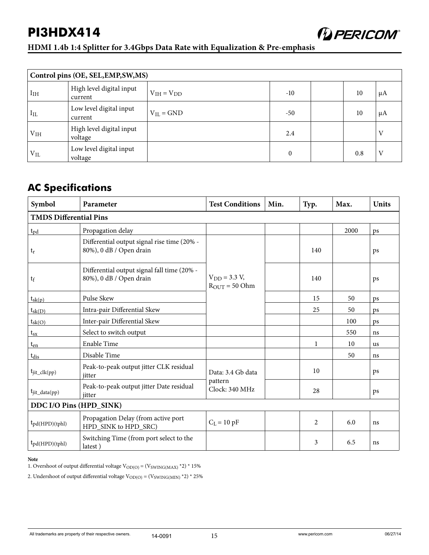#### **HDMI 1.4b 1:4 Splitter for 3.4Gbps Data Rate with Equalization & Pre-emphasis**

|                 | Control pins (OE, SEL, EMP, SW, MS) |                   |                  |  |     |    |
|-----------------|-------------------------------------|-------------------|------------------|--|-----|----|
| I <sub>IH</sub> | High level digital input<br>current | $V_{IH} = V_{DD}$ | $-10$            |  | 10  | μA |
| $I_{IL}$        | Low level digital input<br>current  | $V_{II} = GND$    | $-50$            |  | 10  | μA |
| V <sub>IH</sub> | High level digital input<br>voltage |                   | 2.4              |  |     | V  |
| $\rm V_{IL}$    | Low level digital input<br>voltage  |                   | $\boldsymbol{0}$ |  | 0.8 | V  |

## **AC Specifications**

| Symbol                        | Parameter                                                              | <b>Test Conditions</b>                                 | Min. | Typ. | Max. | <b>Units</b> |
|-------------------------------|------------------------------------------------------------------------|--------------------------------------------------------|------|------|------|--------------|
| <b>TMDS Differential Pins</b> |                                                                        |                                                        |      |      |      |              |
| $t_{\rm pd}$                  | Propagation delay                                                      |                                                        |      |      | 2000 | ps           |
| $t_r$                         | Differential output signal rise time (20% -<br>80%), 0 dB / Open drain |                                                        |      | 140  |      | ps           |
| $t_f$                         | Differential output signal fall time (20% -<br>80%), 0 dB / Open drain | $V_{DD} = 3.3 V,$<br>$R_{\text{OUT}} = 50 \text{ Ohm}$ |      | 140  |      | ps           |
| $t_{sk(p)}$                   | Pulse Skew                                                             |                                                        |      | 15   | 50   | ps           |
| $t_{sk(D)}$                   | Intra-pair Differential Skew                                           |                                                        |      | 25   | 50   | ps           |
| $t_{sk(O)}$                   | Inter-pair Differential Skew                                           |                                                        |      |      | 100  | ps           |
| $t_{sx}$                      | Select to switch output                                                |                                                        |      |      | 550  | ns           |
| $t_{en}$                      | Enable Time                                                            |                                                        |      | 1    | 10   | <b>us</b>    |
| $t_{dis}$                     | Disable Time                                                           |                                                        |      |      | 50   | ns           |
| $t_{jit\_clk(pp)}$            | Peak-to-peak output jitter CLK residual<br>jitter                      | Data: 3.4 Gb data                                      |      | 10   |      | ps           |
| $t_{jit\_data(pp)}$           | Peak-to-peak output jitter Date residual<br>jitter                     | pattern<br>Clock: 340 MHz                              |      | 28   |      | ps           |
| DDC I/O Pins (HPD_SINK)       |                                                                        |                                                        |      |      |      |              |
| $t_{pd(HPD)(tphl)}$           | Propagation Delay (from active port<br>HPD_SINK to HPD_SRC)            | $C_L = 10$ pF                                          |      | 2    | 6.0  | ns           |
| $t_{pd(HPD)(tphl)}$           | Switching Time (from port select to the<br>latest)                     |                                                        |      | 3    | 6.5  | ns           |

#### **Note**

1. Overshoot of output differential voltage  $\mathrm{V_{OD(O)}}$  = (VSWING(MAX) \*2) \* 15%

2. Undershoot of output differential voltage  $V_{\rm O D(O)}$  = (V<sub>SWING(MIN)</sub> \*2) \* 25%

#### All trademarks are property of their respective owners.  $14-0091$   $15$  www.pericom.com www.pericom.com 06/27/14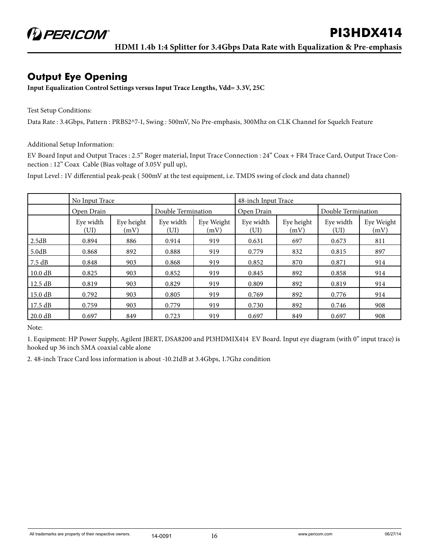## **Output Eye Opening**

**Input Equalization Control Settings versus Input Trace Lengths, Vdd= 3.3V, 25C**

Test Setup Conditions:

Data Rate : 3.4Gbps, Pattern : PRBS2^7-1, Swing : 500mV, No Pre-emphasis, 300Mhz on CLK Channel for Squelch Feature

Additional Setup Information:

EV Board Input and Output Traces : 2.5" Roger material, Input Trace Connection : 24" Coax + FR4 Trace Card, Output Trace Connection : 12" Coax Cable (Bias voltage of 3.05V pull up),

Input Level : 1V differential peak-peak ( 500mV at the test equipment, i.e. TMDS swing of clock and data channel)

|                   | No Input Trace    |                    |                    |                    | 48-inch Input Trace |                    |                    |                    |
|-------------------|-------------------|--------------------|--------------------|--------------------|---------------------|--------------------|--------------------|--------------------|
|                   | Open Drain        |                    | Double Termination |                    | Open Drain          |                    | Double Termination |                    |
|                   | Eye width<br>(UI) | Eye height<br>(mV) | Eye width<br>(UI)  | Eye Weight<br>(mV) | Eye width<br>(UI)   | Eye height<br>(mV) | Eye width<br>(UI)  | Eye Weight<br>(mV) |
| 2.5dB             | 0.894             | 886                | 0.914              | 919                | 0.631               | 697                | 0.673              | 811                |
| 5.0dB             | 0.868             | 892                | 0.888              | 919                | 0.779               | 832                | 0.815              | 897                |
| 7.5 dB            | 0.848             | 903                | 0.868              | 919                | 0.852               | 870                | 0.871              | 914                |
| 10.0 dB           | 0.825             | 903                | 0.852              | 919                | 0.845               | 892                | 0.858              | 914                |
| 12.5 dB           | 0.819             | 903                | 0.829              | 919                | 0.809               | 892                | 0.819              | 914                |
| $15.0 \text{ dB}$ | 0.792             | 903                | 0.805              | 919                | 0.769               | 892                | 0.776              | 914                |
| 17.5 dB           | 0.759             | 903                | 0.779              | 919                | 0.730               | 892                | 0.746              | 908                |
| 20.0 dB           | 0.697             | 849                | 0.723              | 919                | 0.697               | 849                | 0.697              | 908                |

Note:

1. Equipment: HP Power Supply, Agilent JBERT, DSA8200 and PI3HDMIX414 EV Board. Input eye diagram (with 0" input trace) is hooked up 36 inch SMA coaxial cable alone

2. 48-inch Trace Card loss information is about -10.21dB at 3.4Gbps, 1.7Ghz condition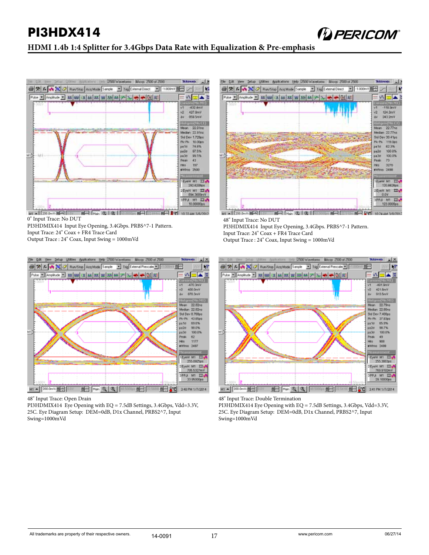

#### **HDMI 1.4b 1:4 Splitter for 3.4Gbps Data Rate with Equalization & Pre-emphasis**



0" Input Trace: No DUT

PI3HDMIX414 Input Eye Opening, 3.4Gbps. PRBS^7-1 Pattern.

Input Trace: 24" Coax + FR4 Trace Card

Output Trace : 24" Coax, Input Swing = 1000mVd



48" Input Trace: Open Drain

PI3HDMIX414 Eye Opening with EQ = 7.5dB Settings, 3.4Gbps, Vdd=3.3V, 25C. Eye Diagram Setup: DEM=0dB, D1x Channel, PRBS2^7, Input Swing=1000mVd



48" Input Trace: No DUT

PI3HDMIX414 Input Eye Opening, 3.4Gbps. PRBS^7-1 Pattern.

Input Trace: 24" Coax + FR4 Trace Card

Output Trace : 24" Coax, Input Swing = 1000mVd



48" Input Trace: Double Termination

PI3HDMIX414 Eye Opening with EQ = 7.5dB Settings, 3.4Gbps, Vdd=3.3V, 25C. Eye Diagram Setup: DEM=0dB, D1x Channel, PRBS2^7, Input Swing=1000mVd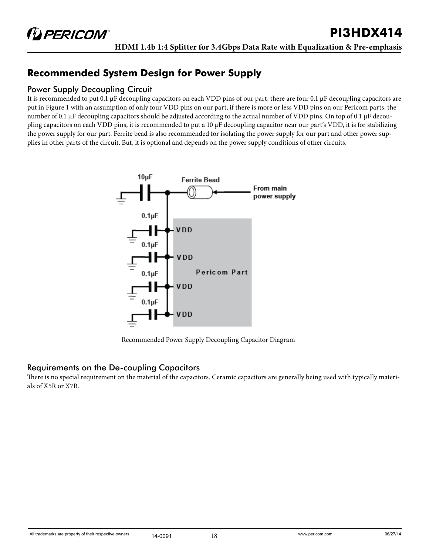## **Recommended System Design for Power Supply**

#### Power Supply Decoupling Circuit

It is recommended to put 0.1 µF decoupling capacitors on each VDD pins of our part, there are four 0.1 µF decoupling capacitors are put in Figure 1 with an assumption of only four VDD pins on our part, if there is more or less VDD pins on our Pericom parts, the number of 0.1 µF decoupling capacitors should be adjusted according to the actual number of VDD pins. On top of 0.1 µF decoupling capacitors on each VDD pins, it is recommended to put a 10 µF decoupling capacitor near our part's VDD, it is for stabilizing the power supply for our part. Ferrite bead is also recommended for isolating the power supply for our part and other power supplies in other parts of the circuit. But, it is optional and depends on the power supply conditions of other circuits.



Recommended Power Supply Decoupling Capacitor Diagram

#### Requirements on the De-coupling Capacitors

There is no special requirement on the material of the capacitors. Ceramic capacitors are generally being used with typically materials of X5R or X7R.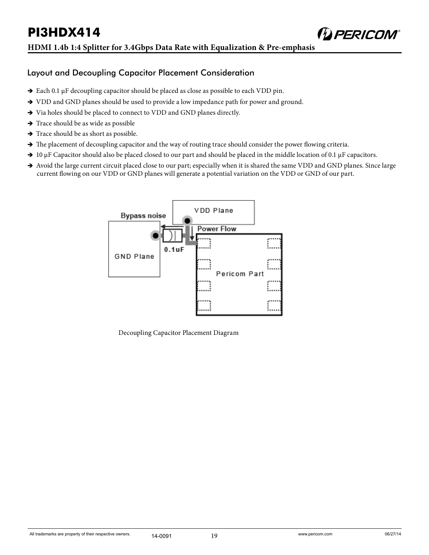

- $\rightarrow$  Each 0.1 µF decoupling capacitor should be placed as close as possible to each VDD pin.
- $\rightarrow$  VDD and GND planes should be used to provide a low impedance path for power and ground.
- $\rightarrow$  Via holes should be placed to connect to VDD and GND planes directly.
- $\rightarrow$  Trace should be as wide as possible
- $\rightarrow$  Trace should be as short as possible.
- $\rightarrow$  The placement of decoupling capacitor and the way of routing trace should consider the power flowing criteria.
- $\rightarrow$  10 µF Capacitor should also be placed closed to our part and should be placed in the middle location of 0.1 µF capacitors.
- Avoid the large current circuit placed close to our part; especially when it is shared the same VDD and GND planes. Since large current flowing on our VDD or GND planes will generate a potential variation on the VDD or GND of our part.



Decoupling Capacitor Placement Diagram

**DERICOM®**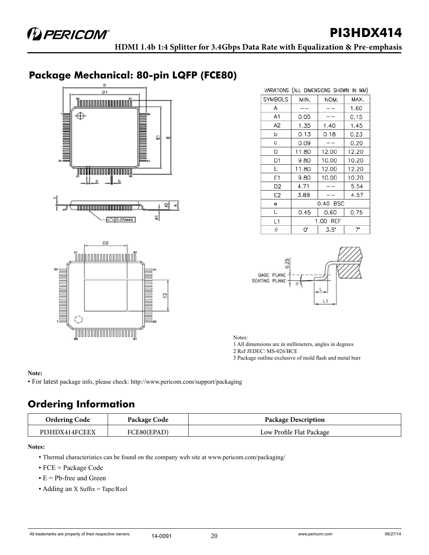## **Package Mechanical: 80-pin LQFP (FCE80)**



| VARIATIONS (ALL DIMENSIONS SHOWN IN MM) |          |             |       |
|-----------------------------------------|----------|-------------|-------|
| <b>SYMBOLS</b>                          | MIN.     | NOM.        | MAX.  |
| A                                       |          |             | 1.60  |
| A1                                      | 0.05     |             | 0.15  |
| A <sub>2</sub>                          | 1.35     | 1.40        | 1.45  |
| b                                       | 0.13     | 0.18        | 0.23  |
| с                                       | 0.09     |             | 0.20  |
| D                                       | 11.80    | 12.00       | 12.20 |
| D <sub>1</sub>                          | 9.80     | 10.00       | 10.20 |
| E                                       | 11.80    | 12.00       | 12.20 |
| Ε1                                      | 9.80     | 10.00       | 10.20 |
| D2                                      | 4.71     |             | 5.54  |
| E2                                      | 3.88     |             | 4.57  |
| e                                       | 0.40 BSC |             |       |
| L                                       | 0.45     | 0.60        | 0.75  |
| L1                                      | 1.00 REF |             |       |
| θ                                       | 0.       | $3.5^\circ$ | 7.    |



Notes:

1 All dimensions are in millimeters, angles in degrees

2 Ref JEDEC: MS-026/BCE

3 Package outline exclusive of mold flash and metal burr

#### **Note:**

• For latest package info, please check: http://www.pericom.com/support/packaging

## **Ordering Information**

| <b>Ordering Code</b> | Package Code | <b>Package Description</b> |
|----------------------|--------------|----------------------------|
| PI3HDX414FCEEX       | FCE80(EPAD)  | Low Profile Flat Package   |

#### **Notes:**

- Thermal characteristics can be found on the company web site at www.pericom.com/packaging/
- FCE = Package Code
- $\bullet$  E = Pb-free and Green
- Adding an X Suffix = Tape/Reel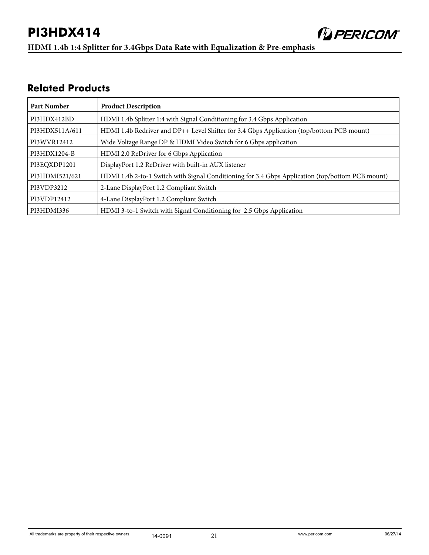

**HDMI 1.4b 1:4 Splitter for 3.4Gbps Data Rate with Equalization & Pre-emphasis** 

### **Related Products**

| <b>Part Number</b> | <b>Product Description</b>                                                                       |  |
|--------------------|--------------------------------------------------------------------------------------------------|--|
| PI3HDX412BD        | HDMI 1.4b Splitter 1:4 with Signal Conditioning for 3.4 Gbps Application                         |  |
| PI3HDX511A/611     | HDMI 1.4b Redriver and DP++ Level Shifter for 3.4 Gbps Application (top/bottom PCB mount)        |  |
| PI3WVR12412        | Wide Voltage Range DP & HDMI Video Switch for 6 Gbps application                                 |  |
| PI3HDX1204-B       | HDMI 2.0 ReDriver for 6 Gbps Application                                                         |  |
| PI3EQXDP1201       | DisplayPort 1.2 ReDriver with built-in AUX listener                                              |  |
| PI3HDMI521/621     | HDMI 1.4b 2-to-1 Switch with Signal Conditioning for 3.4 Gbps Application (top/bottom PCB mount) |  |
| PI3VDP3212         | 2-Lane DisplayPort 1.2 Compliant Switch                                                          |  |
| PI3VDP12412        | 4-Lane DisplayPort 1.2 Compliant Switch                                                          |  |
| PI3HDMI336         | HDMI 3-to-1 Switch with Signal Conditioning for 2.5 Gbps Application                             |  |